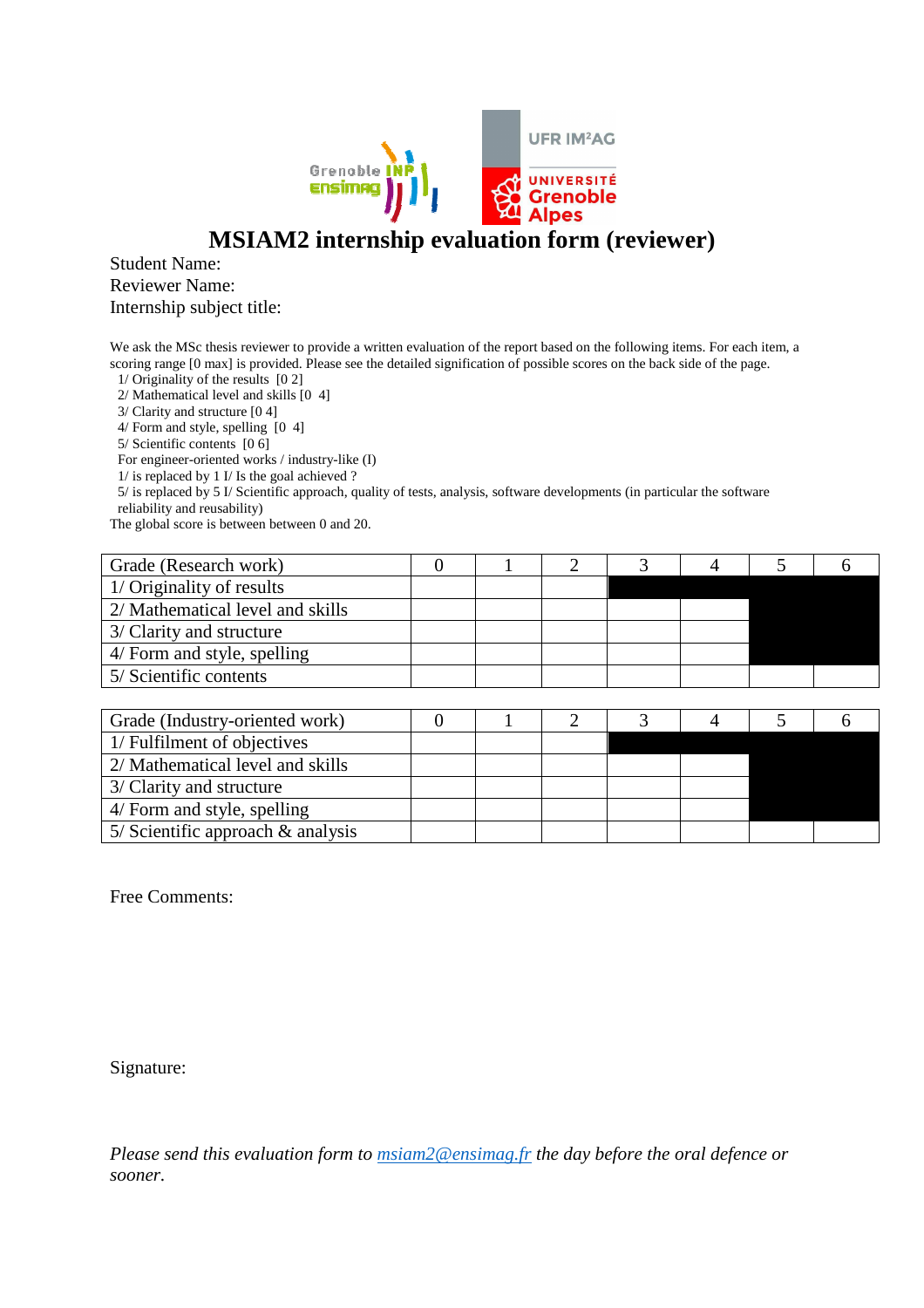

## **MSIAM2 internship evaluation form (reviewer)**

## Student Name: Reviewer Name: Internship subject title:

We ask the MSc thesis reviewer to provide a written evaluation of the report based on the following items. For each item, a scoring range [0 max] is provided. Please see the detailed signification of possible scores on the back side of the page.

1/ Originality of the results [0 2]

2/ Mathematical level and skills [0 4]

3/ Clarity and structure [0 4]

4/ Form and style, spelling [0 4]

5/ Scientific contents [0 6]

For engineer-oriented works / industry-like (I)

1/ is replaced by 1 I/ Is the goal achieved ?

5/ is replaced by 5 I/ Scientific approach, quality of tests, analysis, software developments (in particular the software reliability and reusability)

The global score is between between 0 and 20.

| Grade (Research work)            |  |  |  |  |
|----------------------------------|--|--|--|--|
| 1/ Originality of results        |  |  |  |  |
| 2/ Mathematical level and skills |  |  |  |  |
| 3/ Clarity and structure         |  |  |  |  |
| 4/ Form and style, spelling      |  |  |  |  |
| 5/ Scientific contents           |  |  |  |  |

| Grade (Industry-oriented work)       |  |  |  |  |
|--------------------------------------|--|--|--|--|
| 1/ Fulfilment of objectives          |  |  |  |  |
| 2/ Mathematical level and skills     |  |  |  |  |
| 3/ Clarity and structure             |  |  |  |  |
| 4/ Form and style, spelling          |  |  |  |  |
| 5/ Scientific approach $\&$ analysis |  |  |  |  |

Free Comments:

Signature:

*Please send this evaluation form to msiam2@ensimag.fr the day before the oral defence or sooner.*